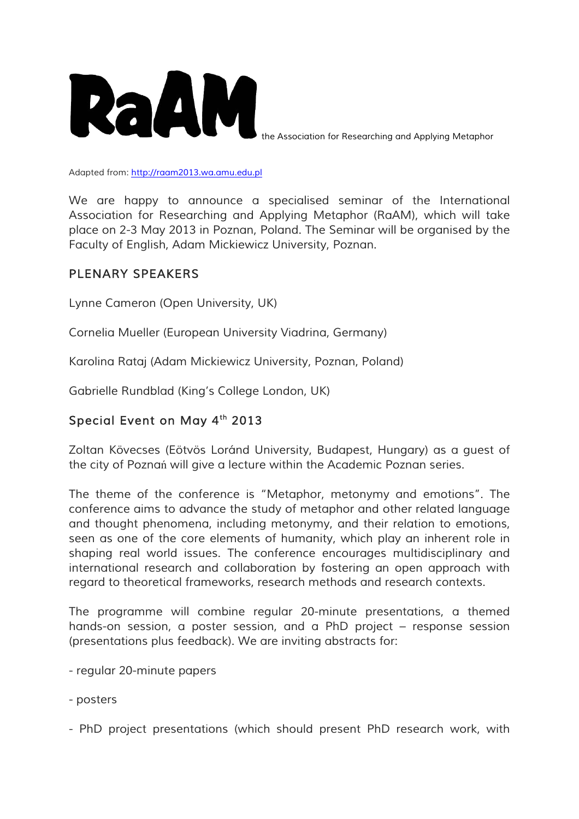

*the Association for Researching and Applying Metaphor*

*Adapted from: http://raam2013.wa.amu.edu.pl*

We are happy to announce a specialised seminar of the International *Association for Researching and Applying Metaphor (RaAM), which will take place on 2-3 May 2013 in Poznan, Poland. The Seminar will be organised by the Faculty of English, Adam Mickiewicz University, Poznan.*

## *PLENARY SPEAKERS*

*Lynne Cameron (Open University, UK)*

*Cornelia Mueller (European University Viadrina, Germany)*

*Karolina Rataj (Adam Mickiewicz University, Poznan, Poland)*

*Gabrielle Rundblad (King's College London, UK)*

## *Special Event on May 4th 2013*

*Zoltan Kövecses (Eötvös Loránd University, Budapest, Hungary) as a guest of the city of Pozna*ń *will give a lecture within the Academic Poznan series.*

*The theme of the conference is "Metaphor, metonymy and emotions". The conference aims to advance the study of metaphor and other related language and thought phenomena, including metonymy, and their relation to emotions, seen as one of the core elements of humanity, which play an inherent role in shaping real world issues. The conference encourages multidisciplinary and international research and collaboration by fostering an open approach with regard to theoretical frameworks, research methods and research contexts.*

*The programme will combine regular 20-minute presentations, a themed hands-on session, a poster session, and a PhD project – response session (presentations plus feedback). We are inviting abstracts for:*

- *- regular 20-minute papers*
- *- posters*
- *- PhD project presentations (which should present PhD research work, with*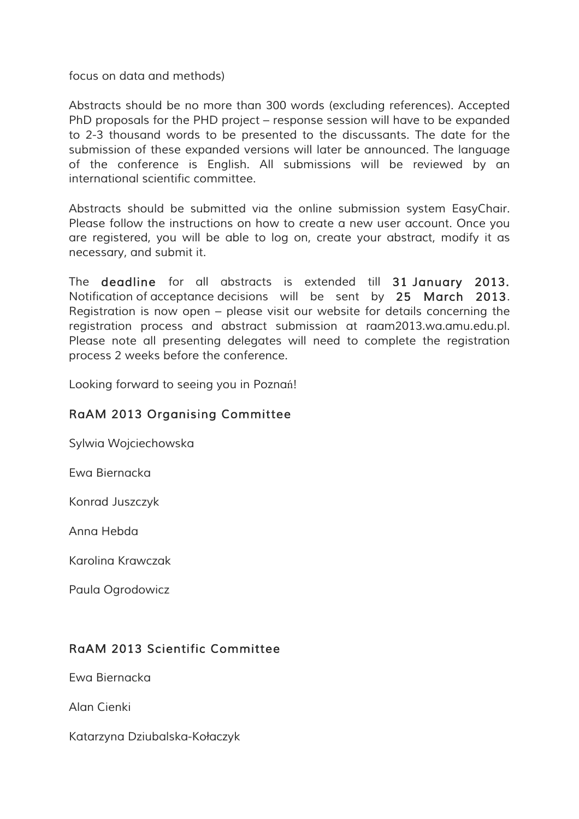*focus on data and methods)*

*Abstracts should be no more than 300 words (excluding references). Accepted PhD proposals for the PHD project – response session will have to be expanded to 2-3 thousand words to be presented to the discussants. The date for the submission of these expanded versions will later be announced. The language of the conference is English. All submissions will be reviewed by an international scientific committee.*

*Abstracts should be submitted via the online submission system EasyChair. Please follow the instructions on how to create a new user account. Once you are registered, you will be able to log on, create your abstract, modify it as necessary, and submit it.*

*The deadline for all abstracts is extended till 31 January 2013. Notification of acceptance decisions will be sent by 25 March 2013. Registration is now open – please visit our website for details concerning the registration process and abstract submission at raam2013.wa.amu.edu.pl. Please note all presenting delegates will need to complete the registration process 2 weeks before the conference.*

*Looking forward to seeing you in Pozna*ń*!*

# *RaAM 2013 Organising Committee*

*Sylwia Wojciechowska*

*Ewa Biernacka*

*Konrad Juszczyk*

*Anna Hebda*

*Karolina Krawczak*

*Paula Ogrodowicz*

## *RaAM 2013 Scientific Committee*

*Ewa Biernacka*

*Alan Cienki*

*Katarzyna Dziubalska-Ko*ł*aczyk*